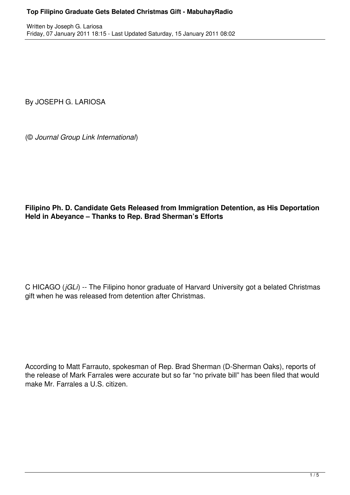By JOSEPH G. LARIOSA

(© *Journal Group Link International*)

**Filipino Ph. D. Candidate Gets Released from Immigration Detention, as His Deportation Held in Abeyance – Thanks to Rep. Brad Sherman's Efforts**

C HICAGO (*jGLi*) -- The Filipino honor graduate of Harvard University got a belated Christmas gift when he was released from detention after Christmas.

According to Matt Farrauto, spokesman of Rep. Brad Sherman (D-Sherman Oaks), reports of the release of Mark Farrales were accurate but so far "no private bill" has been filed that would make Mr. Farrales a U.S. citizen.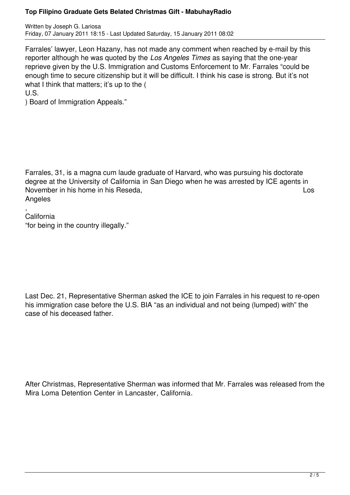## **Top Filipino Graduate Gets Belated Christmas Gift - MabuhayRadio**

Written by Joseph G. Lariosa Friday, 07 January 2011 18:15 - Last Updated Saturday, 15 January 2011 08:02

Farrales' lawyer, Leon Hazany, has not made any comment when reached by e-mail by this reporter although he was quoted by the *Los Angeles Times* as saying that the one-year reprieve given by the U.S. Immigration and Customs Enforcement to Mr. Farrales "could be enough time to secure citizenship but it will be difficult. I think his case is strong. But it's not what I think that matters; it's up to the ( U.S.

) Board of Immigration Appeals."

Farrales, 31, is a magna cum laude graduate of Harvard, who was pursuing his doctorate degree at the University of California in San Diego when he was arrested by ICE agents in November in his home in his Reseda, Los **Angeles** 

, California "for being in the country illegally."

Last Dec. 21, Representative Sherman asked the ICE to join Farrales in his request to re-open his immigration case before the U.S. BIA "as an individual and not being (lumped) with" the case of his deceased father.

After Christmas, Representative Sherman was informed that Mr. Farrales was released from the Mira Loma Detention Center in Lancaster, California.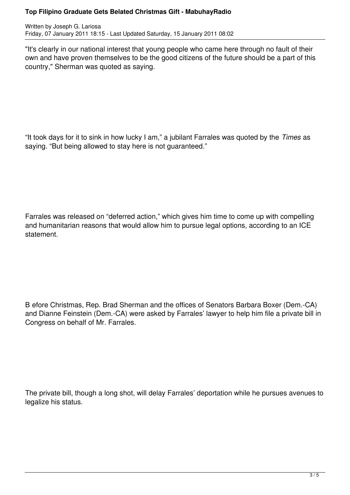## **Top Filipino Graduate Gets Belated Christmas Gift - MabuhayRadio**

Written by Joseph G. Lariosa Friday, 07 January 2011 18:15 - Last Updated Saturday, 15 January 2011 08:02

"It's clearly in our national interest that young people who came here through no fault of their own and have proven themselves to be the good citizens of the future should be a part of this country," Sherman was quoted as saying.

"It took days for it to sink in how lucky I am," a jubilant Farrales was quoted by the *Times* as saying. "But being allowed to stay here is not guaranteed."

Farrales was released on "deferred action," which gives him time to come up with compelling and humanitarian reasons that would allow him to pursue legal options, according to an ICE statement.

B efore Christmas, Rep. Brad Sherman and the offices of Senators Barbara Boxer (Dem.-CA) and Dianne Feinstein (Dem.-CA) were asked by Farrales' lawyer to help him file a private bill in Congress on behalf of Mr. Farrales.

The private bill, though a long shot, will delay Farrales' deportation while he pursues avenues to legalize his status.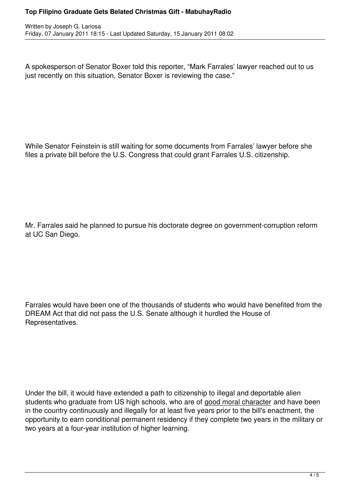## **Top Filipino Graduate Gets Belated Christmas Gift - MabuhayRadio**

A spokesperson of Senator Boxer told this reporter, "Mark Farrales' lawyer reached out to us just recently on this situation. Senator Boxer is reviewing the case."

While Senator Feinstein is still waiting for some documents from Farrales' lawyer before she files a private bill before the U.S. Congress that could grant Farrales U.S. citizenship.

Mr. Farrales said he planned to pursue his doctorate degree on government-corruption reform at UC San Diego.

Farrales would have been one of the thousands of students who would have benefited from the DREAM Act that did not pass the U.S. Senate although it hurdled the House of Representatives.

Under the bill, it would have extended a path to citizenship to illegal and deportable alien students who graduate from US high schools, who are of good moral character and have been in the country continuously and illegally for at least five years prior to the bill's enactment, the opportunity to earn conditional permanent residency if they complete two years in the military or two years at a four-year institution of higher learning.